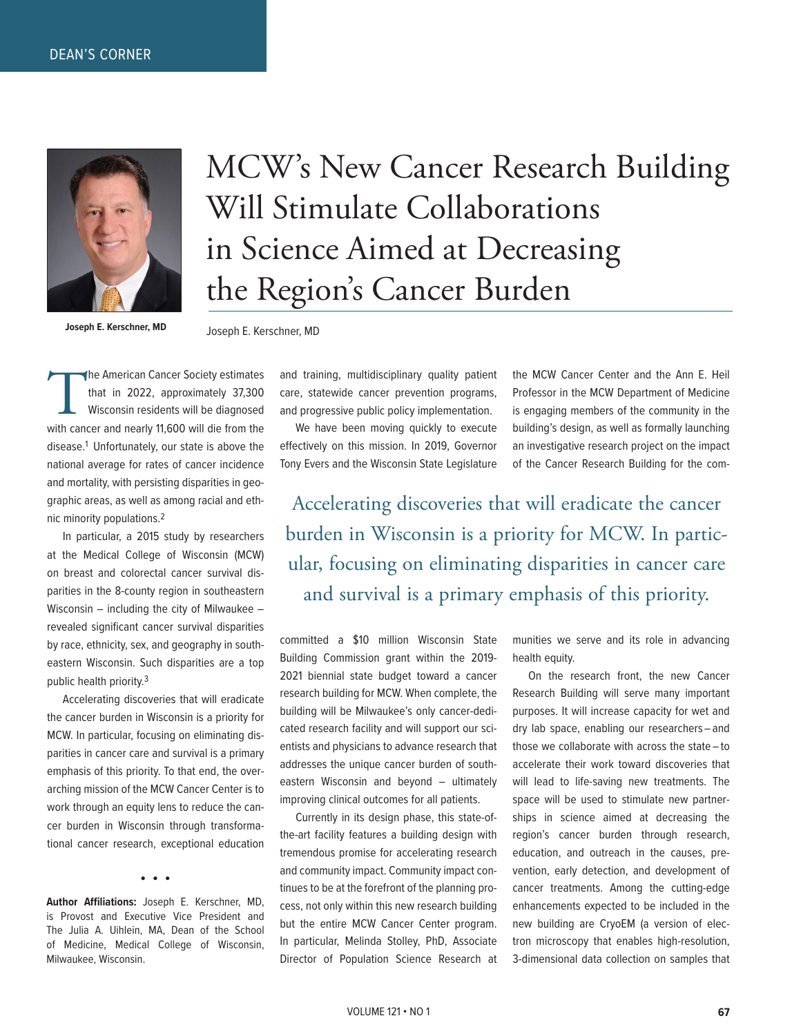

MCW's New Cancer Research Building Will Stimulate Collaborations in Science Aimed at Decreasing the Region's Cancer Burden

**Joseph E. Kerschner, MD**

Joseph E. Kerschner, MD

The American Cancer Society estimates<br>that in 2022, approximately 37,300<br>Wisconsin residents will be diagnosed<br>with cancer and nearly 11,600 will die from the that in 2022, approximately 37,300 Wisconsin residents will be diagnosed disease.1 Unfortunately, our state is above the national average for rates of cancer incidence and mortality, with persisting disparities in geographic areas, as well as among racial and ethnic minority populations.2

In particular, a 2015 study by researchers at the Medical College of Wisconsin (MCW) on breast and colorectal cancer survival disparities in the 8-county region in southeastern Wisconsin – including the city of Milwaukee – revealed significant cancer survival disparities by race, ethnicity, sex, and geography in southeastern Wisconsin. Such disparities are a top public health priority.3

Accelerating discoveries that will eradicate the cancer burden in Wisconsin is a priority for MCW. In particular, focusing on eliminating disparities in cancer care and survival is a primary emphasis of this priority. To that end, the overarching mission of the MCW Cancer Center is to work through an equity lens to reduce the cancer burden in Wisconsin through transformational cancer research, exceptional education

• • •

**Author Affiliations:** Joseph E. Kerschner, MD, is Provost and Executive Vice President and The Julia A. Uihlein, MA, Dean of the School of Medicine, Medical College of Wisconsin, Milwaukee, Wisconsin.

and training, multidisciplinary quality patient care, statewide cancer prevention programs, and progressive public policy implementation.

We have been moving quickly to execute effectively on this mission. In 2019, Governor Tony Evers and the Wisconsin State Legislature

the MCW Cancer Center and the Ann E. Heil Professor in the MCW Department of Medicine is engaging members of the community in the building's design, as well as formally launching an investigative research project on the impact of the Cancer Research Building for the com-

Accelerating discoveries that will eradicate the cancer burden in Wisconsin is a priority for MCW. In particular, focusing on eliminating disparities in cancer care and survival is a primary emphasis of this priority.

committed a \$10 million Wisconsin State Building Commission grant within the 2019- 2021 biennial state budget toward a cancer research building for MCW. When complete, the building will be Milwaukee's only cancer-dedicated research facility and will support our scientists and physicians to advance research that addresses the unique cancer burden of southeastern Wisconsin and beyond – ultimately improving clinical outcomes for all patients.

Currently in its design phase, this state-ofthe-art facility features a building design with tremendous promise for accelerating research and community impact. Community impact continues to be at the forefront of the planning process, not only within this new research building but the entire MCW Cancer Center program. In particular, Melinda Stolley, PhD, Associate Director of Population Science Research at

munities we serve and its role in advancing health equity.

On the research front, the new Cancer Research Building will serve many important purposes. It will increase capacity for wet and dry lab space, enabling our researchers – and those we collaborate with across the state – to accelerate their work toward discoveries that will lead to life-saving new treatments. The space will be used to stimulate new partnerships in science aimed at decreasing the region's cancer burden through research, education, and outreach in the causes, prevention, early detection, and development of cancer treatments. Among the cutting-edge enhancements expected to be included in the new building are CryoEM (a version of electron microscopy that enables high-resolution, 3-dimensional data collection on samples that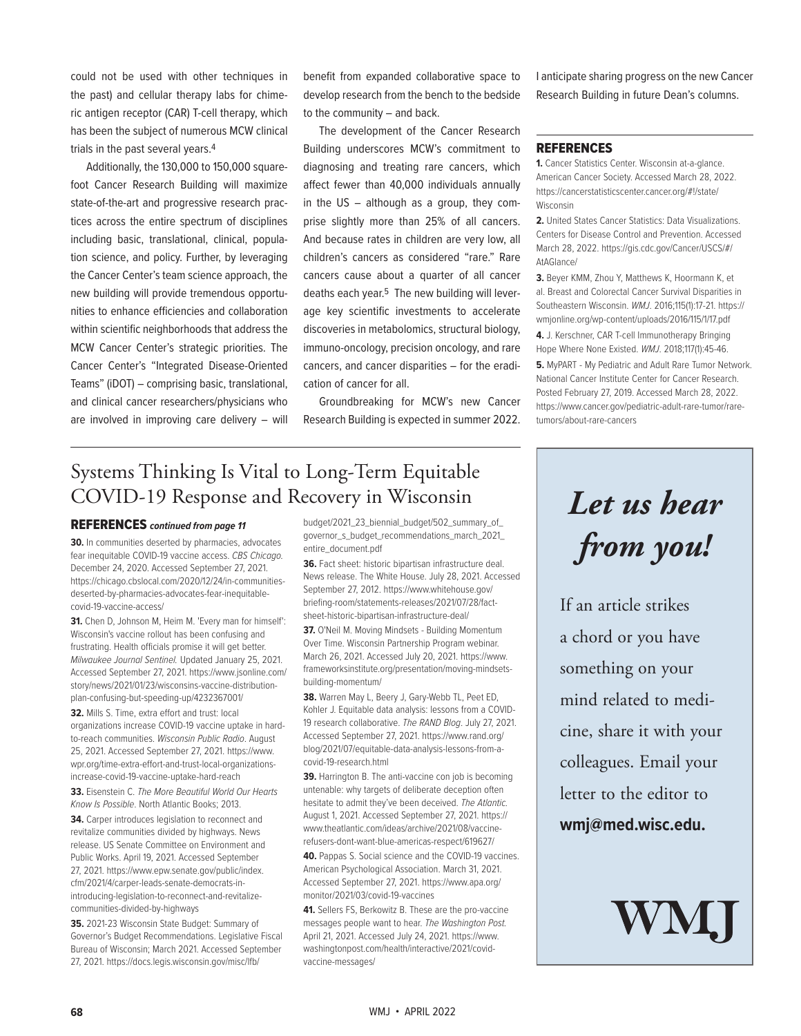could not be used with other techniques in the past) and cellular therapy labs for chimeric antigen receptor (CAR) T-cell therapy, which has been the subject of numerous MCW clinical trials in the past several years.4

Additionally, the 130,000 to 150,000 squarefoot Cancer Research Building will maximize state-of-the-art and progressive research practices across the entire spectrum of disciplines including basic, translational, clinical, population science, and policy. Further, by leveraging the Cancer Center's team science approach, the new building will provide tremendous opportunities to enhance efficiencies and collaboration within scientific neighborhoods that address the MCW Cancer Center's strategic priorities. The Cancer Center's "Integrated Disease-Oriented Teams" (iDOT) – comprising basic, translational, and clinical cancer researchers/physicians who are involved in improving care delivery – will

benefit from expanded collaborative space to develop research from the bench to the bedside to the community – and back.

The development of the Cancer Research Building underscores MCW's commitment to diagnosing and treating rare cancers, which affect fewer than 40,000 individuals annually in the US – although as a group, they comprise slightly more than 25% of all cancers. And because rates in children are very low, all children's cancers as considered "rare." Rare cancers cause about a quarter of all cancer deaths each year.<sup>5</sup> The new building will leverage key scientific investments to accelerate discoveries in metabolomics, structural biology, immuno-oncology, precision oncology, and rare cancers, and cancer disparities – for the eradication of cancer for all.

Groundbreaking for MCW's new Cancer Research Building is expected in summer 2022.

## Systems Thinking Is Vital to Long-Term Equitable COVID-19 Response and Recovery in Wisconsin

#### REFERENCES *continued from page 11*

**30.** In communities deserted by pharmacies, advocates fear inequitable COVID-19 vaccine access. *CBS Chicago.*  December 24, 2020. Accessed September 27, 2021. https://chicago.cbslocal.com/2020/12/24/in-communitiesdeserted-by-pharmacies-advocates-fear-inequitablecovid-19-vaccine-access/

**31.** Chen D, Johnson M, Heim M. 'Every man for himself': Wisconsin's vaccine rollout has been confusing and frustrating. Health officials promise it will get better. *Milwaukee Journal Sentinel.* Updated January 25, 2021. Accessed September 27, 2021. https://www.jsonline.com/ story/news/2021/01/23/wisconsins-vaccine-distributionplan-confusing-but-speeding-up/4232367001/

**32.** Mills S. Time, extra effort and trust: local organizations increase COVID-19 vaccine uptake in hardto-reach communities. *Wisconsin Public Radio*. August 25, 2021. Accessed September 27, 2021. https://www. wpr.org/time-extra-effort-and-trust-local-organizationsincrease-covid-19-vaccine-uptake-hard-reach

**33.** Eisenstein C. *The More Beautiful World Our Hearts Know Is Possible*. North Atlantic Books; 2013.

**34.** Carper introduces legislation to reconnect and revitalize communities divided by highways. News release. US Senate Committee on Environment and Public Works. April 19, 2021. Accessed September 27, 2021. https://www.epw.senate.gov/public/index. cfm/2021/4/carper-leads-senate-democrats-inintroducing-legislation-to-reconnect-and-revitalizecommunities-divided-by-highways

**35.** 2021-23 Wisconsin State Budget: Summary of Governor's Budget Recommendations. Legislative Fiscal Bureau of Wisconsin; March 2021. Accessed September 27, 2021. https://docs.legis.wisconsin.gov/misc/lfb/

budget/2021\_23\_biennial\_budget/502\_summary\_of\_ governor\_s\_budget\_recommendations\_march\_2021\_ entire\_document.pdf

**36.** Fact sheet: historic bipartisan infrastructure deal. News release. The White House. July 28, 2021. Accessed September 27, 2012. https://www.whitehouse.gov/ briefing-room/statements-releases/2021/07/28/factsheet-historic-bipartisan-infrastructure-deal/

**37.** O'Neil M. Moving Mindsets - Building Momentum Over Time. Wisconsin Partnership Program webinar. March 26, 2021. Accessed July 20, 2021. https://www. frameworksinstitute.org/presentation/moving-mindsetsbuilding-momentum/

**38.** Warren May L, Beery J, Gary-Webb TL, Peet ED, Kohler J. Equitable data analysis: lessons from a COVID-19 research collaborative. *The RAND Blog*. July 27, 2021. Accessed September 27, 2021. https://www.rand.org/ blog/2021/07/equitable-data-analysis-lessons-from-acovid-19-research.html

**39.** Harrington B. The anti-vaccine con job is becoming untenable: why targets of deliberate deception often hesitate to admit they've been deceived. *The Atlantic.*  August 1, 2021. Accessed September 27, 2021. https:// www.theatlantic.com/ideas/archive/2021/08/vaccinerefusers-dont-want-blue-americas-respect/619627/

**40.** Pappas S. Social science and the COVID-19 vaccines. American Psychological Association. March 31, 2021. Accessed September 27, 2021. https://www.apa.org/ monitor/2021/03/covid-19-vaccines

**41.** Sellers FS, Berkowitz B. These are the pro-vaccine messages people want to hear. *The Washington Post.*  April 21, 2021. Accessed July 24, 2021. https://www. washingtonpost.com/health/interactive/2021/covidvaccine-messages/

I anticipate sharing progress on the new Cancer Research Building in future Dean's columns.

#### REFERENCES

**1.** Cancer Statistics Center. Wisconsin at-a-glance. American Cancer Society. Accessed March 28, 2022. https://cancerstatisticscenter.cancer.org/#!/state/ Wisconsin

**2.** United States Cancer Statistics: Data Visualizations. Centers for Disease Control and Prevention. Accessed March 28, 2022. https://gis.cdc.gov/Cancer/USCS/#/ AtAGlance/

**3.** Beyer KMM, Zhou Y, Matthews K, Hoormann K, et al. Breast and Colorectal Cancer Survival Disparities in Southeastern Wisconsin. *WMJ*. 2016;115(1):17-21. https:// wmjonline.org/wp-content/uploads/2016/115/1/17.pdf

**4.** J. Kerschner, CAR T-cell Immunotherapy Bringing Hope Where None Existed. *WMJ*. 2018;117(1):45-46. **5.** MyPART - My Pediatric and Adult Rare Tumor Network. National Cancer Institute Center for Cancer Research.

Posted February 27, 2019. Accessed March 28, 2022. https://www.cancer.gov/pediatric-adult-rare-tumor/raretumors/about-rare-cancers

# *Let us hear from you!*

If an article strikes a chord or you have something on your mind related to medicine, share it with your colleagues. Email your letter to the editor to **wmj@med.wisc.edu.**